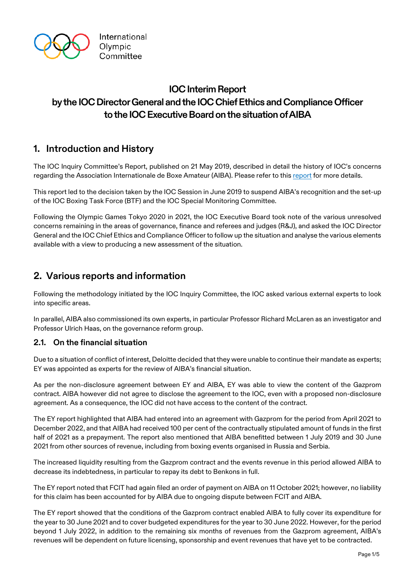

# **IOC Interim Report by the IOC Director General and the IOC Chief Ethics and Compliance Officer to the IOC Executive Board on the situation of AIBA**

## **1. Introduction and History**

The IOC Inquiry Committee's Report, published on 21 May 2019, described in detail the history of IOC's concerns regarding the Association Internationale de Boxe Amateur (AIBA). Please refer to thi[s report](https://stillmed.olympic.org/media/Document%20Library/OlympicOrg/News/2019/05/IOC-IC-Report.pdf) for more details.

This report led to the decision taken by the IOC Session in June 2019 to suspend AIBA's recognition and the set-up of the IOC Boxing Task Force (BTF) and the IOC Special Monitoring Committee.

Following the Olympic Games Tokyo 2020 in 2021, the IOC Executive Board took note of the various unresolved concerns remaining in the areas of governance, finance and referees and judges (R&J), and asked the IOC Director General and the IOC Chief Ethics and Compliance Officer to follow up the situation and analyse the various elements available with a view to producing a new assessment of the situation.

## **2. Various reports and information**

Following the methodology initiated by the IOC Inquiry Committee, the IOC asked various external experts to look into specific areas.

In parallel, AIBA also commissioned its own experts, in particular Professor Richard McLaren as an investigator and Professor Ulrich Haas, on the governance reform group.

#### **2.1. On the financial situation**

Due to a situation of conflict of interest, Deloitte decided that they were unable to continue their mandate as experts; EY was appointed as experts for the review of AIBA's financial situation.

As per the non-disclosure agreement between EY and AIBA, EY was able to view the content of the Gazprom contract. AIBA however did not agree to disclose the agreement to the IOC, even with a proposed non-disclosure agreement. As a consequence, the IOC did not have access to the content of the contract.

The EY report highlighted that AIBA had entered into an agreement with Gazprom for the period from April 2021 to December 2022, and that AIBA had received 100 per cent of the contractually stipulated amount of funds in the first half of 2021 as a prepayment. The report also mentioned that AIBA benefitted between 1 July 2019 and 30 June 2021 from other sources of revenue, including from boxing events organised in Russia and Serbia.

The increased liquidity resulting from the Gazprom contract and the events revenue in this period allowed AIBA to decrease its indebtedness, in particular to repay its debt to Benkons in full.

The EY report noted that FCIT had again filed an order of payment on AIBA on 11 October 2021; however, no liability for this claim has been accounted for by AIBA due to ongoing dispute between FCIT and AIBA.

The EY report showed that the conditions of the Gazprom contract enabled AIBA to fully cover its expenditure for the year to 30 June 2021 and to cover budgeted expenditures for the year to 30 June 2022. However, for the period beyond 1 July 2022, in addition to the remaining six months of revenues from the Gazprom agreement, AIBA's revenues will be dependent on future licensing, sponsorship and event revenues that have yet to be contracted.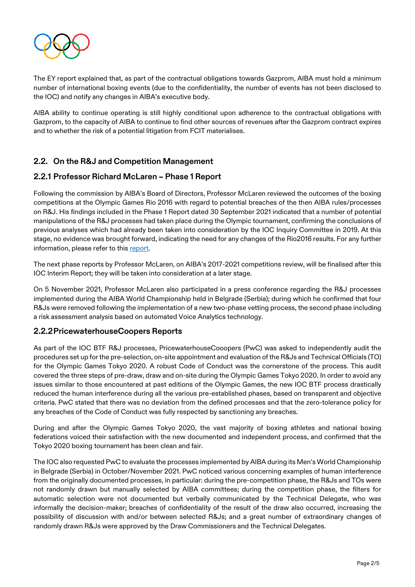

The EY report explained that, as part of the contractual obligations towards Gazprom, AIBA must hold a minimum number of international boxing events (due to the confidentiality, the number of events has not been disclosed to the IOC) and notify any changes in AIBA's executive body.

AIBA ability to continue operating is still highly conditional upon adherence to the contractual obligations with Gazprom, to the capacity of AIBA to continue to find other sources of revenues after the Gazprom contract expires and to whether the risk of a potential litigation from FCIT materialises.

### **2.2. On the R&J and Competition Management**

#### **2.2.1 Professor Richard McLaren – Phase 1 Report**

Following the commission by AIBA's Board of Directors, Professor McLaren reviewed the outcomes of the boxing competitions at the Olympic Games Rio 2016 with regard to potential breaches of the then AIBA rules/processes on R&J. His findings included in the Phase 1 Report dated 30 September 2021 indicated that a number of potential manipulations of the R&J processes had taken place during the Olympic tournament, confirming the conclusions of previous analyses which had already been taken into consideration by the IOC Inquiry Committee in 2019. At this stage, no evidence was brought forward, indicating the need for any changes of the Rio2016 results. For any further information, please refer to this [report.](https://www.mclarenglobalsportsolutions.com/pdf/Boxing-Prelim-Report9-29-2021.pdf)

The next phase reports by Professor McLaren, on AIBA's 2017-2021 competitions review, will be finalised after this IOC Interim Report; they will be taken into consideration at a later stage.

On 5 November 2021, Professor McLaren also participated in a press conference regarding the R&J processes implemented during the AIBA World Championship held in Belgrade (Serbia); during which he confirmed that four R&Js were removed following the implementation of a new two-phase vetting process, the second phase including a risk assessment analysis based on automated Voice Analytics technology.

#### **2.2.2PricewaterhouseCoopers Reports**

As part of the IOC BTF R&J processes, PricewaterhouseCooopers (PwC) was asked to independently audit the procedures set up for the pre-selection, on-site appointment and evaluation of the R&Js and Technical Officials (TO) for the Olympic Games Tokyo 2020. A robust Code of Conduct was the cornerstone of the process. This audit covered the three steps of pre-draw, draw and on-site during the Olympic Games Tokyo 2020. In order to avoid any issues similar to those encountered at past editions of the Olympic Games, the new IOC BTF process drastically reduced the human interference during all the various pre-established phases, based on transparent and objective criteria. PwC stated that there was no deviation from the defined processes and that the zero-tolerance policy for any breaches of the Code of Conduct was fully respected by sanctioning any breaches.

During and after the Olympic Games Tokyo 2020, the vast majority of boxing athletes and national boxing federations voiced their satisfaction with the new documented and independent process, and confirmed that the Tokyo 2020 boxing tournament has been clean and fair.

The IOC also requested PwC to evaluate the processes implemented by AIBA during its Men's World Championship in Belgrade (Serbia) in October/November 2021. PwC noticed various concerning examples of human interference from the originally documented processes, in particular: during the pre-competition phase, the R&Js and TOs were not randomly drawn but manually selected by AIBA committees; during the competition phase, the filters for automatic selection were not documented but verbally communicated by the Technical Delegate, who was informally the decision-maker; breaches of confidentiality of the result of the draw also occurred, increasing the possibility of discussion with and/or between selected R&Js; and a great number of extraordinary changes of randomly drawn R&Js were approved by the Draw Commissioners and the Technical Delegates.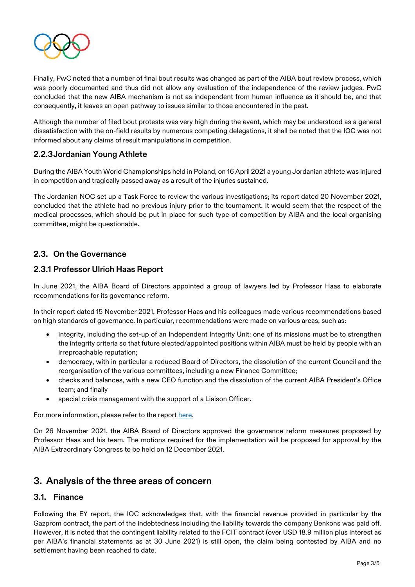

Finally, PwC noted that a number of final bout results was changed as part of the AIBA bout review process, which was poorly documented and thus did not allow any evaluation of the independence of the review judges. PwC concluded that the new AIBA mechanism is not as independent from human influence as it should be, and that consequently, it leaves an open pathway to issues similar to those encountered in the past.

Although the number of filed bout protests was very high during the event, which may be understood as a general dissatisfaction with the on-field results by numerous competing delegations, it shall be noted that the IOC was not informed about any claims of result manipulations in competition.

#### **2.2.3Jordanian Young Athlete**

During the AIBA Youth World Championships held in Poland, on 16 April 2021 a young Jordanian athlete was injured in competition and tragically passed away as a result of the injuries sustained.

The Jordanian NOC set up a Task Force to review the various investigations; its report dated 20 November 2021, concluded that the athlete had no previous injury prior to the tournament. It would seem that the respect of the medical processes, which should be put in place for such type of competition by AIBA and the local organising committee, might be questionable.

#### **2.3. On the Governance**

#### **2.3.1 Professor Ulrich Haas Report**

In June 2021, the AIBA Board of Directors appointed a group of lawyers led by Professor Haas to elaborate recommendations for its governance reform.

In their report dated 15 November 2021, Professor Haas and his colleagues made various recommendations based on high standards of governance. In particular, recommendations were made on various areas, such as:

- integrity, including the set-up of an Independent Integrity Unit: one of its missions must be to strengthen the integrity criteria so that future elected/appointed positions within AIBA must be held by people with an irreproachable reputation;
- democracy, with in particular a reduced Board of Directors, the dissolution of the current Council and the reorganisation of the various committees, including a new Finance Committee;
- checks and balances, with a new CEO function and the dissolution of the current AIBA President's Office team; and finally
- special crisis management with the support of a Liaison Officer.

For more information, please refer to the report [here.](https://www.aiba.org/wp-content/uploads/2021/11/Recommendations-2021-11-15-FINAL.pdf)

On 26 November 2021, the AIBA Board of Directors approved the governance reform measures proposed by Professor Haas and his team. The motions required for the implementation will be proposed for approval by the AIBA Extraordinary Congress to be held on 12 December 2021.

### **3. Analysis of the three areas of concern**

#### **3.1. Finance**

Following the EY report, the IOC acknowledges that, with the financial revenue provided in particular by the Gazprom contract, the part of the indebtedness including the liability towards the company Benkons was paid off. However, it is noted that the contingent liability related to the FCIT contract (over USD 18.9 million plus interest as per AIBA's financial statements as at 30 June 2021) is still open, the claim being contested by AIBA and no settlement having been reached to date.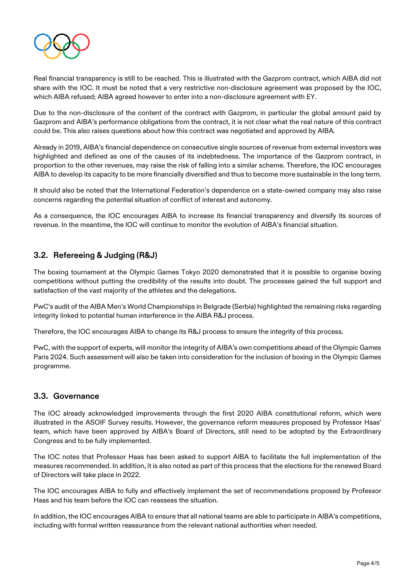

Real financial transparency is still to be reached. This is illustrated with the Gazprom contract, which AIBA did not share with the IOC. It must be noted that a very restrictive non-disclosure agreement was proposed by the IOC, which AIBA refused; AIBA agreed however to enter into a non-disclosure agreement with EY.

Due to the non-disclosure of the content of the contract with Gazprom, in particular the global amount paid by Gazprom and AIBA's performance obligations from the contract, it is not clear what the real nature of this contract could be. This also raises questions about how this contract was negotiated and approved by AIBA.

Already in 2019, AIBA's financial dependence on consecutive single sources of revenue from external investors was highlighted and defined as one of the causes of its indebtedness. The importance of the Gazprom contract, in proportion to the other revenues, may raise the risk of falling into a similar scheme. Therefore, the IOC encourages AIBA to develop its capacity to be more financially diversified and thus to become more sustainable in the long term.

It should also be noted that the International Federation's dependence on a state-owned company may also raise concerns regarding the potential situation of conflict of interest and autonomy.

As a consequence, the IOC encourages AIBA to increase its financial transparency and diversify its sources of revenue. In the meantime, the IOC will continue to monitor the evolution of AIBA's financial situation.

### **3.2. Refereeing & Judging (R&J)**

The boxing tournament at the Olympic Games Tokyo 2020 demonstrated that it is possible to organise boxing competitions without putting the credibility of the results into doubt. The processes gained the full support and satisfaction of the vast majority of the athletes and the delegations.

PwC's audit of the AIBA Men's World Championships in Belgrade (Serbia) highlighted the remaining risks regarding integrity linked to potential human interference in the AIBA R&J process.

Therefore, the IOC encourages AIBA to change its R&J process to ensure the integrity of this process.

PwC, with the support of experts, will monitor the integrity of AIBA's own competitions ahead of the Olympic Games Paris 2024. Such assessment will also be taken into consideration for the inclusion of boxing in the Olympic Games programme.

#### **3.3. Governance**

The IOC already acknowledged improvements through the first 2020 AIBA constitutional reform, which were illustrated in the ASOIF Survey results. However, the governance reform measures proposed by Professor Haas' team, which have been approved by AIBA's Board of Directors, still need to be adopted by the Extraordinary Congress and to be fully implemented.

The IOC notes that Professor Haas has been asked to support AIBA to facilitate the full implementation of the measures recommended. In addition, it is also noted as part of this process that the elections for the renewed Board of Directors will take place in 2022.

The IOC encourages AIBA to fully and effectively implement the set of recommendations proposed by Professor Haas and his team before the IOC can reassess the situation.

In addition, the IOC encourages AIBA to ensure that all national teams are able to participate in AIBA's competitions, including with formal written reassurance from the relevant national authorities when needed.